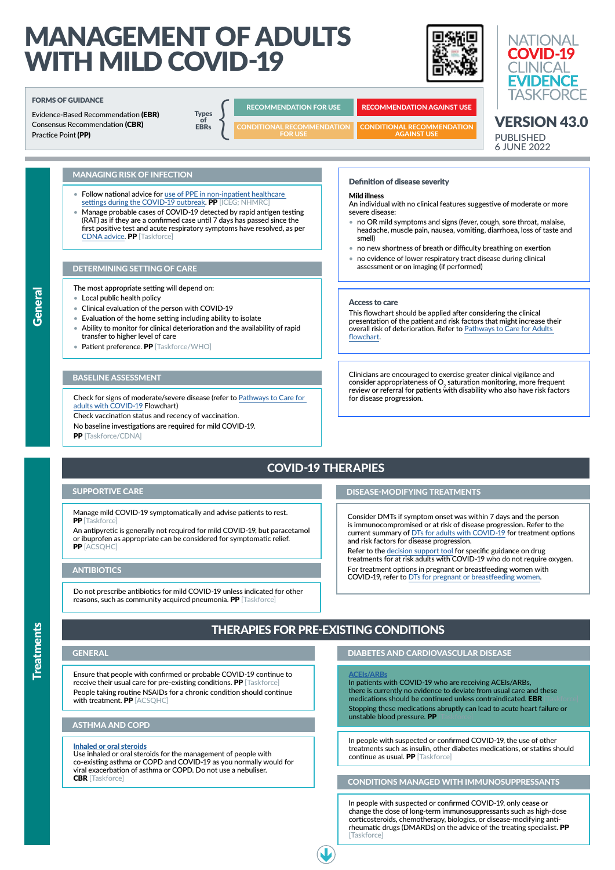Refer to the [decision support too](https://covid19evidence.net.au/wp-content/uploads/DECISION-TOOL-DT-FOR-ADULTS.pdf)l for specific guidance on drug treatments for at risk adults with COVID-19 who do not require oxygen.

Ensure that people with confirmed or probable COVID-19 continue to receive their usual care for pre-existing conditions. PP [Taskforce] People taking routine NSAIDs for a chronic condition should continue with treatment. PP [ACSQHC]

In patients with COVID-19 who are receiving ACEIs/ARBs, there is currently no evidence to deviate from usual care and these medications should be continued unless contraindicated. EBR Stopping these medications abruptly can lead to acute heart failure or unstable blood pressure. PP

#### MANAGEMENT OF ADULTS **NATIONAL COVID-19** WITH MILD COVID-19 **CI INICAI EVIDENCE TASKFORCE** FORMS OF GUIDANCE  $\begin{array}{c}\n\text{Types} \\
\text{of} \\
\text{EBRs}\n\end{array}$ RECOMMENDATION FOR USE RECOMMENDATION AGAINST USE Evidence-Based Recommendation (EBR) **Types** VERSION 43.0 Consensus Recommendation (CBR) **EBRs** CONDITIONAL RECOMMENDATION CONDITIONAL RECOMMENDATION Practice Point (PP) FOR USE AGAINST USE PUBLISHED 6 JUNE 2022 MANAGING RISK OF INFECTION Definition of disease severity • Follow national advice for [use of PPE in non-inpatient healthcare](https://www.health.gov.au/resources/publications/guidance-on-the-use-of-personal-protective-equipment-ppe-for-health-care-workers-in-the-context-of-covid-19)  Mild illness [settings during the COVID-19 outbreak](https://www.health.gov.au/resources/publications/guidance-on-the-use-of-personal-protective-equipment-ppe-for-health-care-workers-in-the-context-of-covid-19). PP [ICEG; NHMRC] An individual with no clinical features suggestive of moderate or more • Manage probable cases of COVID-19 detected by rapid antigen testing severe disease: (RAT) as if they are a confirmed case until 7 days has passed since the • no OR mild symptoms and signs (fever, cough, sore throat, malaise, first positive test and acute respiratory symptoms have resolved, as per headache, muscle pain, nausea, vomiting, diarrhoea, loss of taste and [CDNA advice](https://www1.health.gov.au/internet/main/publishing.nsf/Content/cdna-song-novel-coronavirus.htm). PP [Taskforce] smell) • no new shortness of breath or difficulty breathing on exertion • no evidence of lower respiratory tract disease during clinical assessment or on imaging (if performed) DETERMINING SETTING OF CARE The most appropriate setting will depend on: **General** • Local public health policy Access to care • Clinical evaluation of the person with COVID-19 This flowchart should be applied after considering the clinical • Evaluation of the home setting including ability to isolate presentation of the patient and risk factors that might increase their • Ability to monitor for clinical deterioration and the availability of rapid overall risk of deterioration. Refer to [Pathways to Care for Adults](https://covid19evidence.net.au/wp-content/uploads/FLOWCHART-PATHWAYS-TO-CARE.pdf)  transfer to higher level of care [flowchart](https://covid19evidence.net.au/wp-content/uploads/FLOWCHART-PATHWAYS-TO-CARE.pdf). • Patient preference. PP [Taskforce/WHO] Clinicians are encouraged to exercise greater clinical vigilance and BASELINE ASSESSMENT consider appropriateness of  $\mathsf{O}_2$  saturation monitoring, more frequent review or referral for patients with disability who also have risk factors Check for signs of moderate/severe disease (refer to [Pathways to Care for](https://covid19evidence.net.au/wp-content/uploads/FLOWCHART-PATHWAYS-TO-CARE.pdf)  for disease progression. [adults with COVID-19](https://covid19evidence.net.au/wp-content/uploads/FLOWCHART-PATHWAYS-TO-CARE.pdf) Flowchart) Check vaccination status and recency of vaccination. No baseline investigations are required for mild COVID-19. PP [Taskforce/CDNA] COVID-19 THERAPIES SUPPORTIVE CARE DISEASE-MODIFYING TREATMENTS Manage mild COVID-19 symptomatically and advise patients to rest. Consider DMTs if symptom onset was within 7 days and the person **PP** [Taskforce] is immunocompromised or at risk of disease progression. Refer to the An antipyretic is generally not required for mild COVID-19, but paracetamol current summary of [DTs for adults with COVID-19](https://covid19evidence.net.au/wp-content/uploads/FLOWCHART-DT-FOR-ADULTS.pdf) for treatment options or ibuprofen as appropriate can be considered for symptomatic relief. and risk factors for disease progression. PP [ACSQHC]

## ANTIBIOTICS

Do not prescribe antibiotics for mild COVID-19 unless indicated for other reasons, such as community acquired pneumonia. PP [Taskforce]

For treatment options in pregnant or breastfeeding women with COVID-19, refer to [DTs for pregnant or breastfeeding women](https://covid19evidence.net.au/wp-content/uploads/FLOWCHART-DT-FOR-PREGNANCY.pdf).

## ASTHMA AND COPD

#### [Inhaled or oral steroids](https://is.gd/w0mplt)

Use inhaled or oral steroids for the management of people with co-existing asthma or COPD and COVID-19 as you normally would for viral exacerbation of asthma or COPD. Do not use a nebuliser. CBR [Taskforce]

# THERAPIES FOR PRE-EXISTING CONDITIONS

#### [ACEIs/ARBs](https://app.magicapp.org/#/guideline/L4Q5An/rec/jbA88E)

In people with suspected or confirmed COVID-19, the use of other treatments such as insulin, other diabetes medications, or statins should continue as usual. PP [Taskforce]

## CONDITIONS MANAGED WITH IMMUNOSUPPRESSANTS

In people with suspected or confirmed COVID-19, only cease or change the dose of long-term immunosuppressants such as high-dose corticosteroids, chemotherapy, biologics, or disease-modifying antirheumatic drugs (DMARDs) on the advice of the treating specialist. PP [Taskforce]

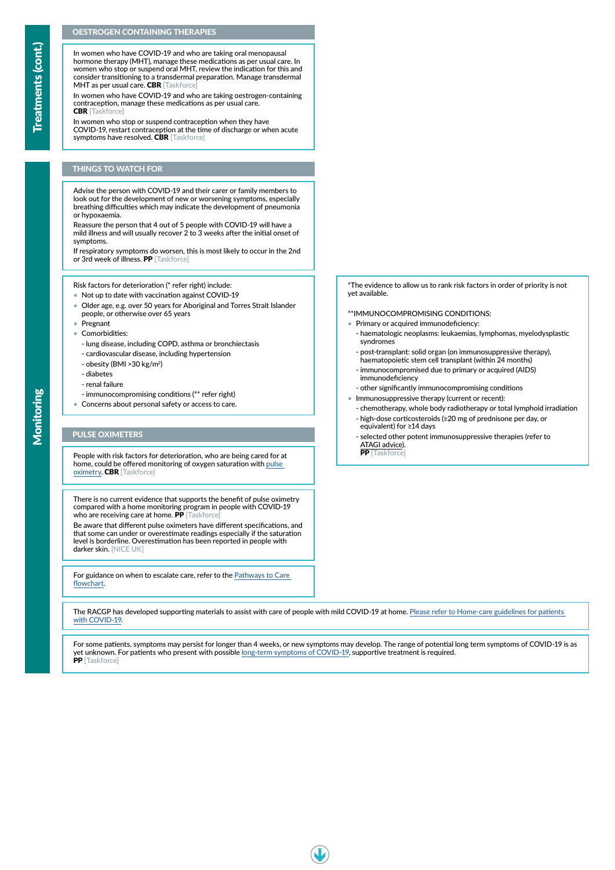## THINGS TO WATCH FOR

Advise the person with COVID-19 and their carer or family members to look out for the development of new or worsening symptoms, especially breathing difficulties which may indicate the development of pneumonia or hypoxaemia.

**Treatments (cont.)** Treatments (cont.)

In women who have COVID-19 and who are taking oral menopausal hormone therapy (MHT), manage these medications as per usual care. In women who stop or suspend oral MHT, review the indication for this and consider transitioning to a transdermal preparation. Manage transdermal MHT as per usual care. CBR [Taskforce]

Reassure the person that 4 out of 5 people with COVID-19 will have a mild illness and will usually recover 2 to 3 weeks after the initial onset of symptoms.

If respiratory symptoms do worsen, this is most likely to occur in the 2nd or 3rd week of illness. PP [Taskforce]

In women who stop or suspend contraception when they have COVID-19, restart contraception at the time of discharge or when acute symptoms have resolved. CBR [Taskforce]

### OESTROGEN CONTAINING THERAPIES

There is no current evidence that supports the benefit of pulse oximetry compared with a home monitoring program in people with COVID-19 who are receiving care at home. PP [Taskforce]

In women who have COVID-19 and who are taking oestrogen-containing contraception, manage these medications as per usual care. CBR [Taskforce]

- Not up to date with vaccination against COVID-19
- Older age, e.g. over 50 years for Aboriginal and Torres Strait Islander people, or otherwise over 65 years
- Pregnant
- Comorbidities:
	- lung disease, including COPD, asthma or bronchiectasis
- cardiovascular disease, including hypertension
- obesity (BMI >30 kg/m2)
- diabetes
- renal failure
- immunocompromising conditions (\*\* refer right)
- Concerns about personal safety or access to care.

Be aware that different pulse oximeters have different specifications, and that some can under or overestimate readings especially if the saturation level is borderline. Overestimation has been reported in people with darker skin. [NICE UK]

The RACGP has developed supporting materials to assist with care of people with mild COVID-19 at home. [Please refer to Home-care guidelines for patients](https://www.racgp.org.au/clinical-resources/covid-19-resources/clinical-care/covid-19-home-care-guidelines/)  [with COVID-19](https://www.racgp.org.au/clinical-resources/covid-19-resources/clinical-care/covid-19-home-care-guidelines/).

Risk factors for deterioration (\* refer right) include:

For guidance on when to escalate care, refer to the [Pathways to Care](https://covid19evidence.net.au/wp-content/uploads/FLOWCHART-PATHWAYS-TO-CARE.pdf)  [flowchart](https://covid19evidence.net.au/wp-content/uploads/FLOWCHART-PATHWAYS-TO-CARE.pdf).

## PULSE OXIMETERS

People with risk factors for deterioration, who are being cared for at home, could be offered monitoring of oxygen saturation with [pulse](https://app.magicapp.org/#/guideline/L4Q5An/rec/j962dR)  [oximetry](https://app.magicapp.org/#/guideline/L4Q5An/rec/j962dR). CBR [Taskforce]

For some patients, symptoms may persist for longer than 4 weeks, or new symptoms may develop. The range of potential long term symptoms of COVID-19 is as yet unknown. For patients who present with possible [long-term symptoms of COVID-19,](https://covid19evidence.net.au/wp-content/uploads/FLOWCHART-POST-COVID-19.pdf) supportive treatment is required.





\*The evidence to allow us to rank risk factors in order of priority is not yet available.

#### \*\*IMMUNOCOMPROMISING CONDITIONS:

- Primary or acquired immunodeficiency:
	- haematologic neoplasms: leukaemias, lymphomas, myelodysplastic syndromes
	- post-transplant: solid organ (on immunosuppressive therapy), haematopoietic stem cell transplant (within 24 months)
	- immunocompromised due to primary or acquired (AIDS) immunodeficiency
	- other significantly immunocompromising conditions
- Immunosuppressive therapy (current or recent):
	- chemotherapy, whole body radiotherapy or total lymphoid irradiation
	- high-dose corticosteroids (≥20 mg of prednisone per day, or equivalent) for ≥14 days
	- selected other potent immunosuppressive therapies (refer to [ATAGI advice\)](https://www.health.gov.au/resources/publications/atagi-recommendations-on-the-use-of-a-third-primary-dose-of-covid-19-vaccine-in-individuals-who-are-severely-immunocompromised).

PP [Taskforce]